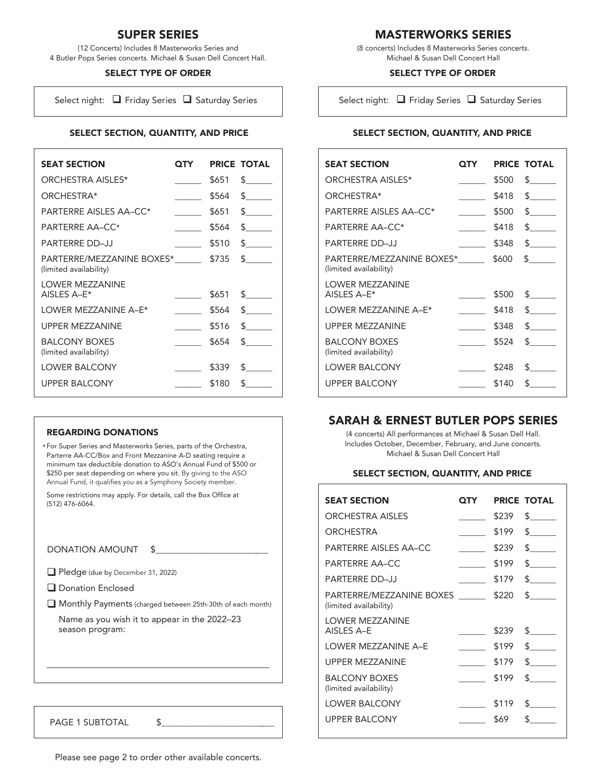# SUPER SERIES

(12 Concerts) Includes 8 Masterworks Series and 4 Butler Pops Series concerts. Michael & Susan Dell Concert Hall.

### SELECT TYPE OF ORDER

Select night:  $\Box$  Friday Series  $\Box$  Saturday Series

### SELECT SECTION, QUANTITY, AND PRICE

| <b>SEAT SECTION</b>                                 | OTY |       | <b>PRICE TOTAL</b>          |
|-----------------------------------------------------|-----|-------|-----------------------------|
| ORCHESTRA AISI ES*                                  |     | \$651 | $\mathsf S$ and $\mathsf S$ |
| ORCHESTRA*                                          |     | \$564 | $\mathsf{\$}$               |
| PARTERRE AISI ES AA-CC*                             |     | \$651 | $\mathsf{S}$                |
| <b>PARTERRE AA-CC*</b>                              |     | \$564 | $\mathsf S$ and $\mathsf S$ |
| <b>PARTFRRF DD-JJ</b>                               |     | \$510 | s.                          |
| PARTERRE/MEZZANINE BOXES*<br>(limited availability) |     | \$735 | $\mathsf S$ and $\mathsf S$ |
| <b>LOWER MEZZANINE</b><br>AISLES A-E*               |     | \$651 | $\mathsf S$                 |
| <b>I OWER MEZZANINE A-F*</b>                        |     | \$564 | $\mathsf{S}$                |
| <b>UPPER MEZZANINE</b>                              |     | \$516 | $\mathsf{S}$                |
| <b>BALCONY BOXES</b><br>(limited availability)      |     | \$654 | $\mathsf S$ and $\mathsf S$ |
| <b>LOWER BALCONY</b>                                |     | \$339 | \$                          |
| UPPER BAI CONY                                      |     | \$180 | ፍ                           |

#### REGARDING DONATIONS

For Super Series and Masterworks Series, parts of the Orchestra, \* Parterre AA-CC/Box and Front Mezzanine A-D seating require a minimum tax deductible donation to ASO's Annual Fund of \$500 or \$250 per seat depending on where you sit. By giving to the ASO Annual Fund, it qualifies you as a Symphony Society member.

Some restrictions may apply. For details, call the Box Office at (512) 476-6064.

DONATION AMOUNT \$

Pledge (due by December 31, 2022)

Donation Enclosed

Monthly Payments (charged between 25th-30th of each month)

Name as you wish it to appear in the 2022–23 season program:

PAGE 1 SUBTOTAL \$

MASTERWORKS SERIES

(8 concerts) Includes 8 Masterworks Series concerts. Michael & Susan Dell Concert Hall

## SELECT TYPE OF ORDER

Select night:  $\Box$  Friday Series  $\Box$  Saturday Series

## SELECT SECTION, QUANTITY, AND PRICE

| <b>SEAT SECTION</b>                                 | QTY |       | <b>PRICE TOTAL</b>            |
|-----------------------------------------------------|-----|-------|-------------------------------|
| ORCHESTRA AISLES*                                   |     | \$500 | $\mathbb{S}$ and $\mathbb{S}$ |
| ORCHESTRA*                                          |     | \$418 | $\mathsf S$ and $\mathsf S$   |
| <b>PARTERRE AISLES AA-CC*</b>                       |     | \$500 | $\mathsf S$                   |
| <b>PARTERRE AA-CC*</b>                              |     | \$418 | $\mathbf{s}$ and $\mathbf{s}$ |
| <b>PARTFRRF DD-JJ</b>                               |     | \$348 | \$                            |
| PARTERRE/MEZZANINE BOXES*<br>(limited availability) |     | \$600 | $\mathsf S$ and $\mathsf S$   |
| <b>LOWER MEZZANINE</b><br>AISLES A-E*               |     | \$500 | $\mathsf S$ and $\mathsf S$   |
| LOWER MEZZANINE A-E*                                |     | \$418 | \$.                           |
| UPPER MEZZANINE                                     |     | \$348 | $\mathbf{S}$                  |
| <b>BALCONY BOXES</b><br>(limited availability)      |     | \$524 | $\mathsf{\$}$                 |
| <b>LOWER BALCONY</b>                                |     | \$248 | \$.                           |
| <b>UPPER BALCONY</b>                                |     | \$140 | ፍ                             |

## SARAH & ERNEST BUTLER POPS SERIES

(4 concerts) All performances at Michael & Susan Dell Hall. Includes October, December, February, and June concerts. Michael & Susan Dell Concert Hall

### SELECT SECTION, QUANTITY, AND PRICE

| <b>SEAT SECTION</b>                                | ОТҮ |       | <b>PRICE TOTAL</b>              |
|----------------------------------------------------|-----|-------|---------------------------------|
| <b>ORCHESTRA AISLES</b>                            |     | \$239 | $\mathbb{S}$ and $\mathbb{S}$   |
| ORCHESTRA                                          |     | \$199 | $\mathsf S$ and $\mathsf S$     |
| PARTERRE AISLES AA-CC                              |     | \$239 | $\mathsf S$ and $\mathsf S$     |
| <b>PARTERRE AA-CC</b>                              |     | \$199 | \$.                             |
| <b>PARTERRE DD-JJ</b>                              |     | \$179 | $\mathcal{S}$ and $\mathcal{S}$ |
| PARTERRE/MEZZANINE BOXES<br>(limited availability) |     | \$220 | $\mathsf S$ and $\mathsf S$     |
| <b>LOWER MEZZANINE</b><br>AISLES A-E               |     | \$239 | $\mathsf{\$}$                   |
| I OWER MEZZANINE A-F                               |     | \$199 | $\mathsf{S}$                    |
| <b>UPPER MEZZANINE</b>                             |     | \$179 | $\mathcal{L}$                   |
| <b>BALCONY BOXES</b><br>(limited availability)     |     | \$199 | $\mathbf{s}$ and $\mathbf{s}$   |
| <b>LOWER BALCONY</b>                               |     | \$119 | \$.                             |
| <b>UPPER BALCONY</b>                               |     | \$69  | ፍ                               |

Please see page 2 to order other available concerts.